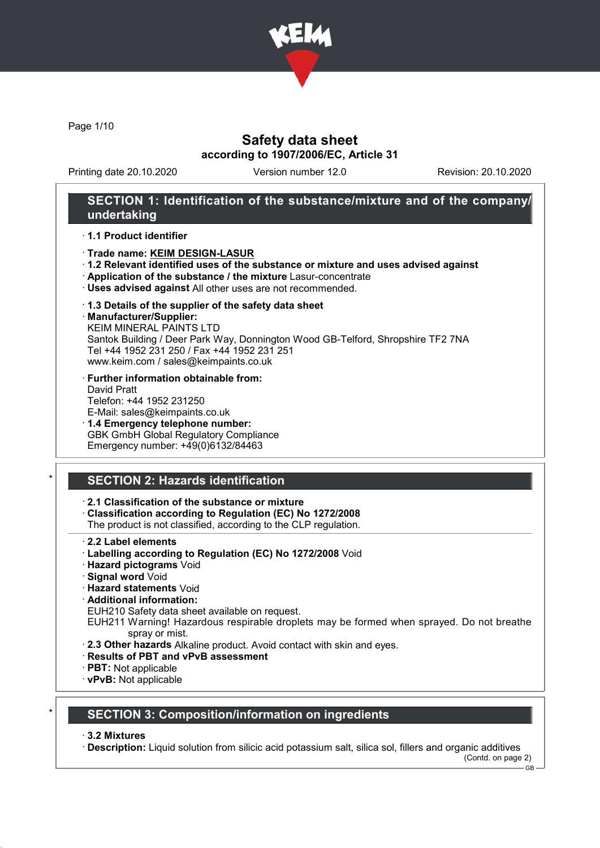

Page 1/10

## Safety data sheet according to 1907/2006/EC, Article 31

Printing date 20.10.2020 Version number 12.0 Revision: 20.10.2020

## SECTION 1: Identification of the substance/mixture and of the company/ undertaking

#### · 1.1 Product identifier

#### · Trade name: KEIM DESIGN-LASUR

- · 1.2 Relevant identified uses of the substance or mixture and uses advised against
- · Application of the substance / the mixture Lasur-concentrate
- · Uses advised against All other uses are not recommended.
- · 1.3 Details of the supplier of the safety data sheet
- · Manufacturer/Supplier:

KEIM MINERAL PAINTS LTD Santok Building / Deer Park Way, Donnington Wood GB-Telford, Shropshire TF2 7NA Tel +44 1952 231 250 / Fax +44 1952 231 251 www.keim.com / sales@keimpaints.co.uk

- · Further information obtainable from: David Pratt Telefon: +44 1952 231250 E-Mail: sales@keimpaints.co.uk
- · 1.4 Emergency telephone number: GBK GmbH Global Regulatory Compliance Emergency number: +49(0)6132/84463

# SECTION 2: Hazards identification

· 2.1 Classification of the substance or mixture

- · Classification according to Regulation (EC) No 1272/2008
- The product is not classified, according to the CLP regulation.
- · 2.2 Label elements
- · Labelling according to Regulation (EC) No 1272/2008 Void
- · Hazard pictograms Void
- · Signal word Void
- · Hazard statements Void
- · Additional information:
- EUH210 Safety data sheet available on request.
- EUH211 Warning! Hazardous respirable droplets may be formed when sprayed. Do not breathe spray or mist.
- · 2.3 Other hazards Alkaline product. Avoid contact with skin and eyes.
- · Results of PBT and vPvB assessment
- · PBT: Not applicable
- · vPvB: Not applicable

### SECTION 3: Composition/information on ingredients

#### · 3.2 Mixtures

· Description: Liquid solution from silicic acid potassium salt, silica sol, fillers and organic additives

 $-$  GB  $-$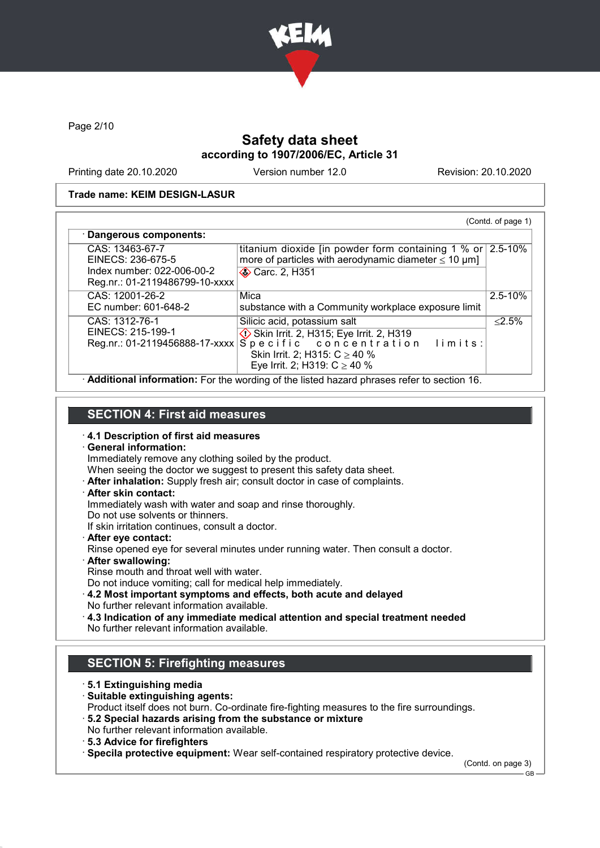

Page 2/10

# Safety data sheet according to 1907/2006/EC, Article 31

Printing date 20.10.2020 Version number 12.0 Revision: 20.10.2020

#### Trade name: KEIM DESIGN-LASUR

| CAS: 13463-67-7                                              | titanium dioxide [in powder form containing $1\%$ or $2.5-10\%$                    |              |
|--------------------------------------------------------------|------------------------------------------------------------------------------------|--------------|
| EINECS: 236-675-5                                            | more of particles with aerodynamic diameter $\leq 10 \ \mu m$ ]                    |              |
| Index number: 022-006-00-2<br>Reg.nr.: 01-2119486799-10-xxxx | <b>◆ Carc. 2, H351</b>                                                             |              |
| CAS: 12001-26-2                                              | Mica                                                                               | $2.5 - 10\%$ |
| EC number: 601-648-2                                         | substance with a Community workplace exposure limit                                |              |
| CAS: 1312-76-1                                               | Silicic acid, potassium salt                                                       | $< 2.5\%$    |
| EINECS: 215-199-1                                            |                                                                                    |              |
|                                                              | EINECS: 215-199-1<br>Reg.nr.: 01-2119456888-17-xxxx Specific concentration limits: |              |
|                                                              | Skin Irrit. 2; H315: $C \ge 40$ %                                                  |              |
|                                                              | Eye Irrit. 2; H319: $C \ge 40$ %                                                   |              |

### SECTION 4: First aid measures

#### · 4.1 Description of first aid measures

· General information:

Immediately remove any clothing soiled by the product.

- When seeing the doctor we suggest to present this safety data sheet.
- · After inhalation: Supply fresh air; consult doctor in case of complaints.
- · After skin contact:

Immediately wash with water and soap and rinse thoroughly.

Do not use solvents or thinners.

If skin irritation continues, consult a doctor.

· After eye contact:

Rinse opened eye for several minutes under running water. Then consult a doctor.

· After swallowing:

Rinse mouth and throat well with water.

Do not induce vomiting; call for medical help immediately.

- · 4.2 Most important symptoms and effects, both acute and delayed
- No further relevant information available.
- · 4.3 Indication of any immediate medical attention and special treatment needed No further relevant information available.

### SECTION 5: Firefighting measures

- · 5.1 Extinguishing media
- · Suitable extinguishing agents:
- Product itself does not burn. Co-ordinate fire-fighting measures to the fire surroundings.
- · 5.2 Special hazards arising from the substance or mixture
- No further relevant information available.
- · 5.3 Advice for firefighters

· Specila protective equipment: Wear self-contained respiratory protective device.

(Contd. on page 3)

GB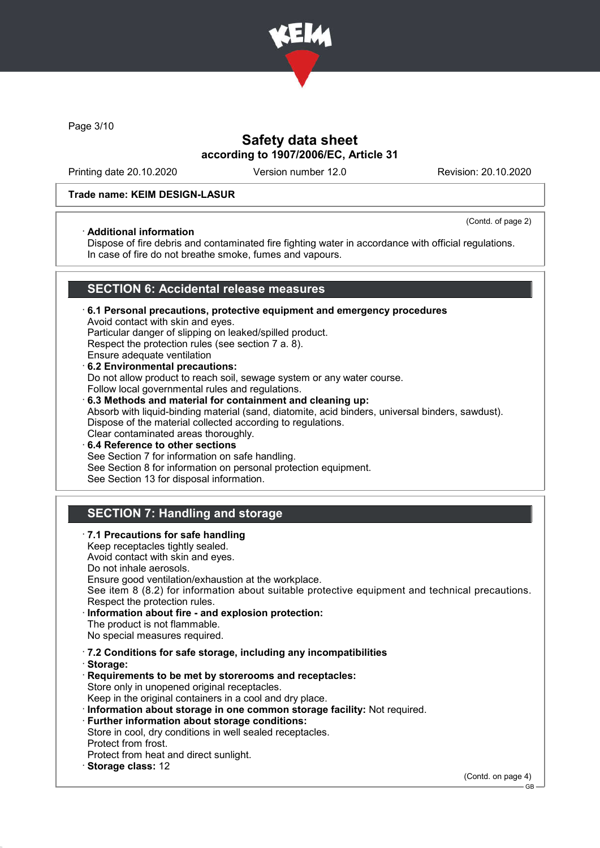

Page 3/10

## Safety data sheet according to 1907/2006/EC, Article 31

Printing date 20.10.2020 Version number 12.0 Revision: 20.10.2020

### Trade name: KEIM DESIGN-LASUR

### · Additional information

(Contd. of page 2)

Dispose of fire debris and contaminated fire fighting water in accordance with official regulations. In case of fire do not breathe smoke, fumes and vapours.

# SECTION 6: Accidental release measures

- · 6.1 Personal precautions, protective equipment and emergency procedures Avoid contact with skin and eyes. Particular danger of slipping on leaked/spilled product. Respect the protection rules (see section 7 a. 8). Ensure adequate ventilation · 6.2 Environmental precautions: Do not allow product to reach soil, sewage system or any water course. Follow local governmental rules and regulations. · 6.3 Methods and material for containment and cleaning up: Absorb with liquid-binding material (sand, diatomite, acid binders, universal binders, sawdust). Dispose of the material collected according to regulations. Clear contaminated areas thoroughly.
- 6.4 Reference to other sections See Section 7 for information on safe handling. See Section 8 for information on personal protection equipment. See Section 13 for disposal information.

# SECTION 7: Handling and storage

· 7.1 Precautions for safe handling Keep receptacles tightly sealed. Avoid contact with skin and eyes. Do not inhale aerosols. Ensure good ventilation/exhaustion at the workplace. See item 8 (8.2) for information about suitable protective equipment and technical precautions. Respect the protection rules. Information about fire - and explosion protection: The product is not flammable. No special measures required. · 7.2 Conditions for safe storage, including any incompatibilities · Storage: · Requirements to be met by storerooms and receptacles: Store only in unopened original receptacles. Keep in the original containers in a cool and dry place. · Information about storage in one common storage facility: Not required. · Further information about storage conditions: Store in cool, dry conditions in well sealed receptacles. Protect from frost. Protect from heat and direct sunlight. Storage class: 12 (Contd. on page 4)

GB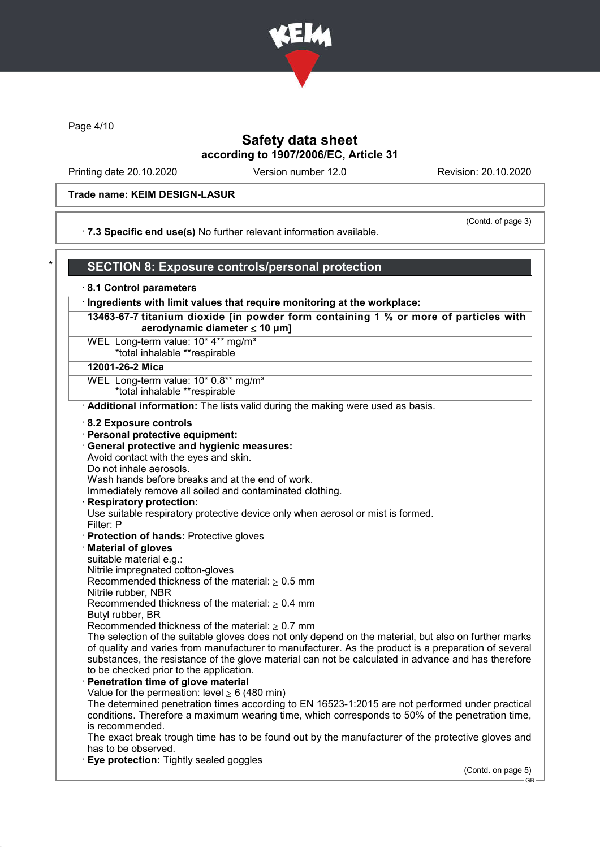

Page 4/10

## Safety data sheet according to 1907/2006/EC, Article 31

Printing date 20.10.2020 Version number 12.0 Revision: 20.10.2020

#### Trade name: KEIM DESIGN-LASUR

· 7.3 Specific end use(s) No further relevant information available.

(Contd. of page 3)

## SECTION 8: Exposure controls/personal protection · 8.1 Control parameters · Ingredients with limit values that require monitoring at the workplace: 13463-67-7 titanium dioxide [in powder form containing 1 % or more of particles with aerodynamic diameter  $\leq 10 \mu m$ ] WEL Long-term value: 10<sup>\*</sup> 4<sup>\*\*</sup> mg/m<sup>3</sup> \*total inhalable \*\*respirable 12001-26-2 Mica WEL Long-term value: 10\* 0.8\*\* mg/m<sup>3</sup> \*total inhalable \*\*respirable · Additional information: The lists valid during the making were used as basis. · 8.2 Exposure controls · Personal protective equipment: · General protective and hygienic measures: Avoid contact with the eyes and skin.

Do not inhale aerosols.

Wash hands before breaks and at the end of work.

Immediately remove all soiled and contaminated clothing.

#### Respiratory protection:

Use suitable respiratory protective device only when aerosol or mist is formed.

Filter: P

- · Protection of hands: Protective gloves
- · Material of gloves

suitable material e.g.:

Nitrile impregnated cotton-gloves

Recommended thickness of the material:  $> 0.5$  mm

Nitrile rubber, NBR

Recommended thickness of the material:  $\geq 0.4$  mm

- Butyl rubber, BR
- Recommended thickness of the material:  $> 0.7$  mm

The selection of the suitable gloves does not only depend on the material, but also on further marks of quality and varies from manufacturer to manufacturer. As the product is a preparation of several substances, the resistance of the glove material can not be calculated in advance and has therefore to be checked prior to the application.

### Penetration time of glove material

Value for the permeation: level  $> 6$  (480 min)

The determined penetration times according to EN 16523-1:2015 are not performed under practical conditions. Therefore a maximum wearing time, which corresponds to 50% of the penetration time, is recommended.

The exact break trough time has to be found out by the manufacturer of the protective gloves and has to be observed.

**Eye protection:** Tightly sealed goggles

(Contd. on page 5)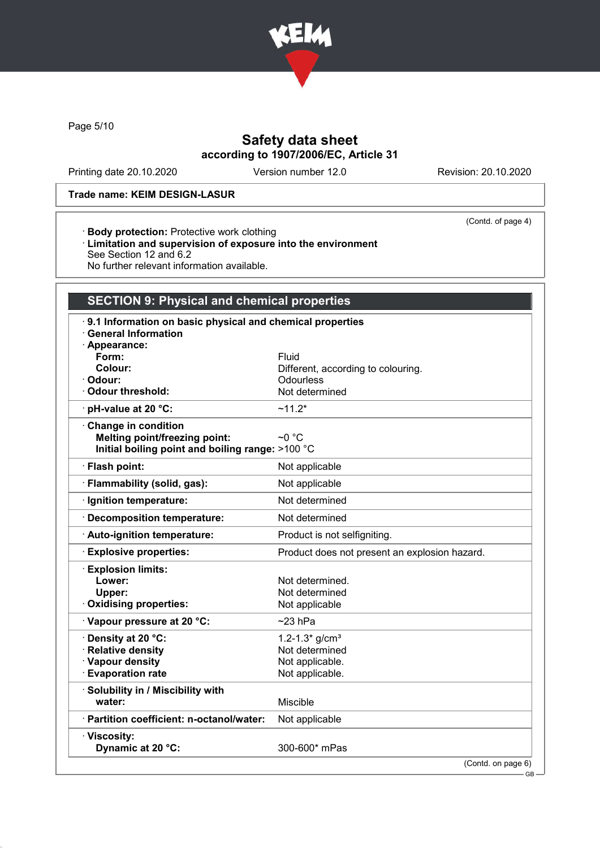

Page 5/10

# Safety data sheet according to 1907/2006/EC, Article 31

Printing date 20.10.2020 Version number 12.0 Revision: 20.10.2020

### Trade name: KEIM DESIGN-LASUR

· Body protection: Protective work clothing

(Contd. of page 4)

· Limitation and supervision of exposure into the environment See Section 12 and 6.2 No further relevant information available.

# SECTION 9: Physical and chemical properties

| 9.1 Information on basic physical and chemical properties<br><b>General Information</b><br>· Appearance: |                                                 |
|----------------------------------------------------------------------------------------------------------|-------------------------------------------------|
| Form:                                                                                                    | Fluid                                           |
| Colour:                                                                                                  |                                                 |
| Odour:                                                                                                   | Different, according to colouring.<br>Odourless |
|                                                                                                          |                                                 |
| <b>Odour threshold:</b>                                                                                  | Not determined                                  |
| · pH-value at 20 °C:                                                                                     | $~11.2*$                                        |
| Change in condition                                                                                      |                                                 |
| <b>Melting point/freezing point:</b>                                                                     | $\sim$ 0 °C                                     |
| Initial boiling point and boiling range: >100 °C                                                         |                                                 |
| · Flash point:                                                                                           | Not applicable                                  |
| · Flammability (solid, gas):                                                                             | Not applicable                                  |
| Ignition temperature:                                                                                    | Not determined                                  |
| · Decomposition temperature:                                                                             | Not determined                                  |
| · Auto-ignition temperature:                                                                             | Product is not selfigniting.                    |
| <b>Explosive properties:</b>                                                                             | Product does not present an explosion hazard.   |
|                                                                                                          |                                                 |
| <b>Explosion limits:</b>                                                                                 |                                                 |
| Lower:                                                                                                   | Not determined.                                 |
| Upper:                                                                                                   | Not determined                                  |
| Oxidising properties:                                                                                    | Not applicable                                  |
| Vapour pressure at 20 °C:                                                                                | $~23$ hPa                                       |
| · Density at 20 °C:                                                                                      | 1.2-1.3* $g/cm3$                                |
| <b>Relative density</b>                                                                                  | Not determined                                  |
| · Vapour density                                                                                         | Not applicable.                                 |
| <b>Evaporation rate</b>                                                                                  | Not applicable.                                 |
| · Solubility in / Miscibility with                                                                       |                                                 |
| water:                                                                                                   | <b>Miscible</b>                                 |
| · Partition coefficient: n-octanol/water:                                                                | Not applicable                                  |
| · Viscosity:                                                                                             |                                                 |
| Dynamic at 20 °C:                                                                                        | 300-600* mPas                                   |
|                                                                                                          | (Contd. on page 6)                              |
|                                                                                                          | GB-                                             |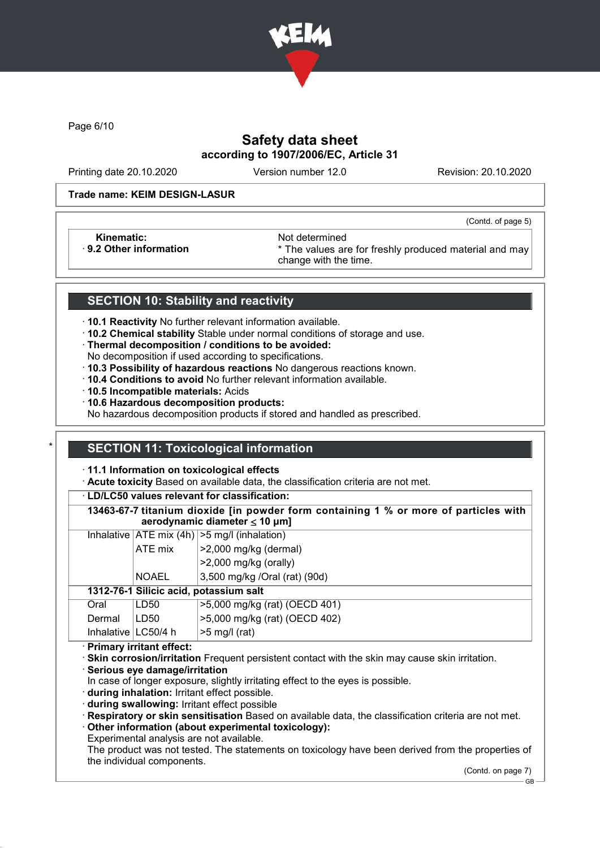

Page 6/10

# Safety data sheet according to 1907/2006/EC, Article 31

Printing date 20.10.2020 Version number 12.0 Revision: 20.10.2020

(Contd. of page 5)

#### Trade name: KEIM DESIGN-LASUR

Kinematic: Not determined<br>B.2 Other information **Accord 1998** The values and the values are set of the values and the values are set of the values are set of the values are set of the values are set of the values are set o

\* The values are for freshly produced material and may change with the time.

## SECTION 10: Stability and reactivity

· 10.1 Reactivity No further relevant information available.

· 10.2 Chemical stability Stable under normal conditions of storage and use.

· Thermal decomposition / conditions to be avoided:

No decomposition if used according to specifications.

· 10.3 Possibility of hazardous reactions No dangerous reactions known.

- · 10.4 Conditions to avoid No further relevant information available.
- · 10.5 Incompatible materials: Acids
- · 10.6 Hazardous decomposition products:

No hazardous decomposition products if stored and handled as prescribed.

# SECTION 11: Toxicological information

· 11.1 Information on toxicological effects

· Acute toxicity Based on available data, the classification criteria are not met.

· LD/LC50 values relevant for classification:

13463-67-7 titanium dioxide [in powder form containing 1 % or more of particles with aerodynamic diameter  $\leq 10 \mu m$ ] Inhalative  $ATE \text{ mix } (4h)$   $>> \text{ mal}$  (inhalation) ATE mix  $\vert$  >2,000 mg/kg (dermal) >2,000 mg/kg (orally) NOAEL 3,500 mg/kg /Oral (rat) (90d) 1312-76-1 Silicic acid, potassium salt Oral LD50 >5,000 mg/kg (rat) (OECD 401) Dermal LD50 >5,000 mg/kg (rat) (OECD 402) Inhalative  $\lfloor$  LC50/4 h  $\rfloor$  >5 mg/l (rat)

· Primary irritant effect:

· Skin corrosion/irritation Frequent persistent contact with the skin may cause skin irritation.

· Serious eye damage/irritation

In case of longer exposure, slightly irritating effect to the eyes is possible.

· during inhalation: Irritant effect possible.

· during swallowing: Irritant effect possible

· Respiratory or skin sensitisation Based on available data, the classification criteria are not met. · Other information (about experimental toxicology):

Experimental analysis are not available.

The product was not tested. The statements on toxicology have been derived from the properties of the individual components.

(Contd. on page 7)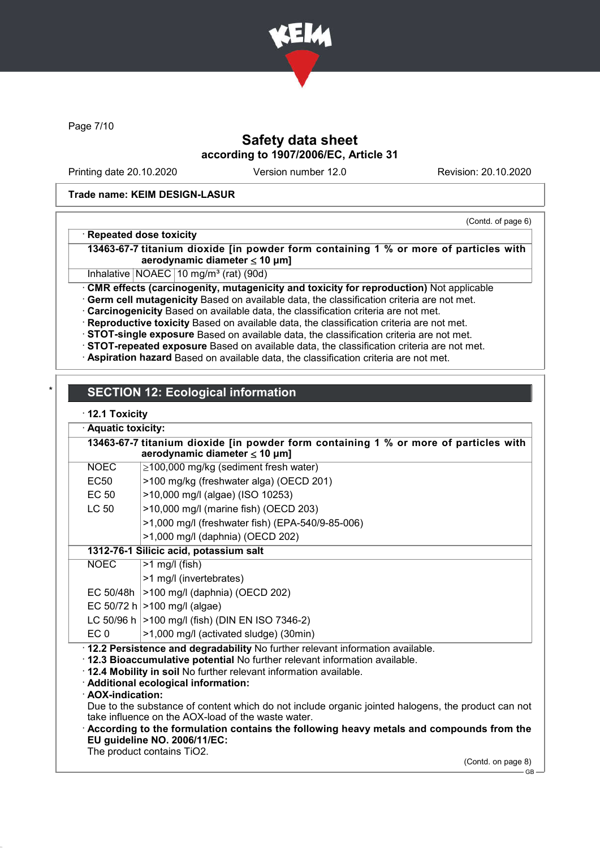

Page 7/10

# Safety data sheet according to 1907/2006/EC, Article 31

Printing date 20.10.2020 Version number 12.0 Revision: 20.10.2020

#### Trade name: KEIM DESIGN-LASUR

### (Contd. of page 6)

### · Repeated dose toxicity

13463-67-7 titanium dioxide [in powder form containing 1 % or more of particles with aerodynamic diameter  $\leq 10 \mu m$ ]

Inhalative  $NOAEC$  10 mg/m<sup>3</sup> (rat) (90d)

· CMR effects (carcinogenity, mutagenicity and toxicity for reproduction) Not applicable

· Germ cell mutagenicity Based on available data, the classification criteria are not met.

· Carcinogenicity Based on available data, the classification criteria are not met.

· Reproductive toxicity Based on available data, the classification criteria are not met.

· STOT-single exposure Based on available data, the classification criteria are not met.

· STOT-repeated exposure Based on available data, the classification criteria are not met.

· Aspiration hazard Based on available data, the classification criteria are not met.

# **SECTION 12: Ecological information**

### · 12.1 Toxicity

|                                                                                                                            | Aquatic toxicity:                                                                                  |                                                                                         |  |  |  |  |
|----------------------------------------------------------------------------------------------------------------------------|----------------------------------------------------------------------------------------------------|-----------------------------------------------------------------------------------------|--|--|--|--|
| 13463-67-7 titanium dioxide [in powder form containing 1 % or more of particles with<br>aerodynamic diameter $\leq 10$ µm] |                                                                                                    |                                                                                         |  |  |  |  |
|                                                                                                                            | <b>NOEC</b>                                                                                        | $\geq$ 100,000 mg/kg (sediment fresh water)                                             |  |  |  |  |
|                                                                                                                            | <b>EC50</b>                                                                                        | >100 mg/kg (freshwater alga) (OECD 201)                                                 |  |  |  |  |
|                                                                                                                            | <b>EC 50</b>                                                                                       | >10,000 mg/l (algae) (ISO 10253)                                                        |  |  |  |  |
|                                                                                                                            | <b>LC 50</b>                                                                                       | >10,000 mg/l (marine fish) (OECD 203)                                                   |  |  |  |  |
|                                                                                                                            |                                                                                                    | >1,000 mg/l (freshwater fish) (EPA-540/9-85-006)                                        |  |  |  |  |
|                                                                                                                            |                                                                                                    | >1,000 mg/l (daphnia) (OECD 202)                                                        |  |  |  |  |
|                                                                                                                            | 1312-76-1 Silicic acid, potassium salt                                                             |                                                                                         |  |  |  |  |
|                                                                                                                            | <b>NOEC</b>                                                                                        | $>1$ mg/l (fish)                                                                        |  |  |  |  |
|                                                                                                                            |                                                                                                    | >1 mg/l (invertebrates)                                                                 |  |  |  |  |
|                                                                                                                            | EC 50/48h                                                                                          | >100 mg/l (daphnia) (OECD 202)                                                          |  |  |  |  |
|                                                                                                                            |                                                                                                    | EC 50/72 h $>100$ mg/l (algae)                                                          |  |  |  |  |
|                                                                                                                            |                                                                                                    | LC 50/96 h   > 100 mg/l (fish) (DIN EN ISO 7346-2)                                      |  |  |  |  |
|                                                                                                                            | EC <sub>0</sub>                                                                                    | >1,000 mg/l (activated sludge) (30min)                                                  |  |  |  |  |
| · 12.2 Persistence and degradability No further relevant information available.                                            |                                                                                                    |                                                                                         |  |  |  |  |
| 12.3 Bioaccumulative potential No further relevant information available.                                                  |                                                                                                    |                                                                                         |  |  |  |  |
|                                                                                                                            | . 12.4 Mobility in soil No further relevant information available.                                 |                                                                                         |  |  |  |  |
| · Additional ecological information:<br>· AOX-indication:                                                                  |                                                                                                    |                                                                                         |  |  |  |  |
|                                                                                                                            | Due to the substance of content which do not include organic jointed halogens, the product can not |                                                                                         |  |  |  |  |
|                                                                                                                            |                                                                                                    | take influence on the AOX-load of the waste water.                                      |  |  |  |  |
|                                                                                                                            |                                                                                                    | According to the formulation contains the following heavy metals and compounds from the |  |  |  |  |
|                                                                                                                            | EU guideline NO. 2006/11/EC:                                                                       |                                                                                         |  |  |  |  |
|                                                                                                                            | The product contains TiO2.                                                                         |                                                                                         |  |  |  |  |

(Contd. on page 8) GB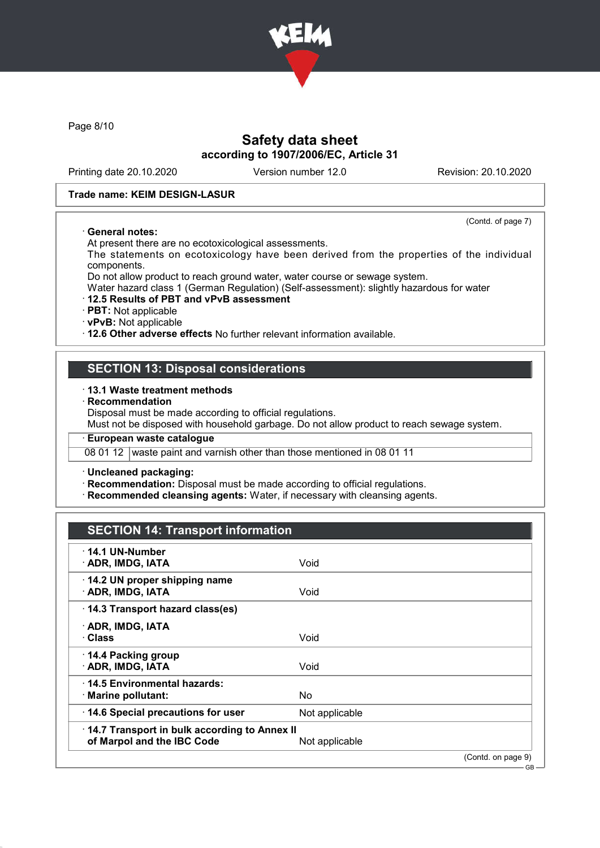

Page 8/10

## Safety data sheet according to 1907/2006/EC, Article 31

Printing date 20.10.2020 Version number 12.0 Revision: 20.10.2020

(Contd. of page 7)

 $-GB$ 

#### Trade name: KEIM DESIGN-LASUR

#### · General notes:

At present there are no ecotoxicological assessments.

The statements on ecotoxicology have been derived from the properties of the individual components.

Do not allow product to reach ground water, water course or sewage system.

Water hazard class 1 (German Regulation) (Self-assessment): slightly hazardous for water

### · 12.5 Results of PBT and vPvB assessment

· PBT: Not applicable

· vPvB: Not applicable

· 12.6 Other adverse effects No further relevant information available.

### SECTION 13: Disposal considerations

#### · 13.1 Waste treatment methods

**Recommendation** 

Disposal must be made according to official regulations.

Must not be disposed with household garbage. Do not allow product to reach sewage system.

#### · European waste catalogue

08 01 12 waste paint and varnish other than those mentioned in 08 01 11

#### · Uncleaned packaging:

· Recommendation: Disposal must be made according to official regulations.

· Recommended cleansing agents: Water, if necessary with cleansing agents.

# SECTION 14: Transport information

| $\cdot$ 14.1 UN-Number<br>· ADR, IMDG, IATA                                | Void           |                    |
|----------------------------------------------------------------------------|----------------|--------------------|
| 14.2 UN proper shipping name<br>· ADR, IMDG, IATA                          | Void           |                    |
| 14.3 Transport hazard class(es)                                            |                |                    |
| · ADR, IMDG, IATA<br>· Class                                               | Void           |                    |
| ⋅ 14.4 Packing group<br>· ADR, IMDG, IATA                                  | Void           |                    |
| ⋅14.5 Environmental hazards:<br>· Marine pollutant:                        | <b>No</b>      |                    |
| 14.6 Special precautions for user                                          | Not applicable |                    |
| 14.7 Transport in bulk according to Annex II<br>of Marpol and the IBC Code | Not applicable |                    |
|                                                                            |                | (Contd. on page 9) |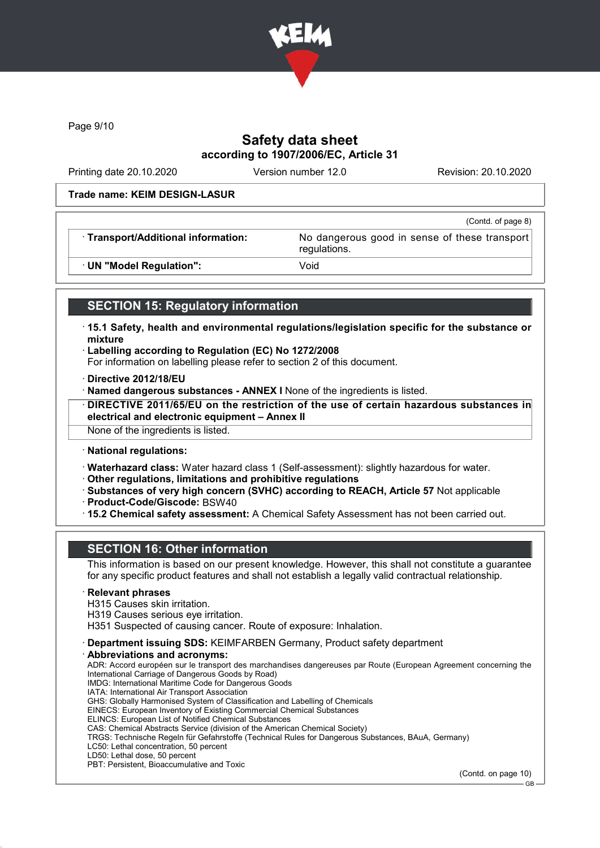

Page 9/10

# Safety data sheet according to 1907/2006/EC, Article 31

Printing date 20.10.2020 Version number 12.0 Revision: 20.10.2020

#### Trade name: KEIM DESIGN-LASUR

|                                     | (Contd. of page 8)                                            |
|-------------------------------------|---------------------------------------------------------------|
| · Transport/Additional information: | No dangerous good in sense of these transport<br>regulations. |
| · UN "Model Regulation":            | Void                                                          |

# SECTION 15: Regulatory information

- · 15.1 Safety, health and environmental regulations/legislation specific for the substance or mixture
- · Labelling according to Regulation (EC) No 1272/2008
- For information on labelling please refer to section 2 of this document.
- · Directive 2012/18/EU
- · Named dangerous substances ANNEX I None of the ingredients is listed.
- · DIRECTIVE 2011/65/EU on the restriction of the use of certain hazardous substances in electrical and electronic equipment – Annex II

None of the ingredients is listed.

· National regulations:

· Waterhazard class: Water hazard class 1 (Self-assessment): slightly hazardous for water.

- · Other regulations, limitations and prohibitive regulations
- · Substances of very high concern (SVHC) according to REACH, Article 57 Not applicable · Product-Code/Giscode: BSW40
- 
- · 15.2 Chemical safety assessment: A Chemical Safety Assessment has not been carried out.

# SECTION 16: Other information

This information is based on our present knowledge. However, this shall not constitute a guarantee for any specific product features and shall not establish a legally valid contractual relationship.

#### **Relevant phrases**

- H315 Causes skin irritation.
- H319 Causes serious eye irritation.

H351 Suspected of causing cancer. Route of exposure: Inhalation.

- · Department issuing SDS: KEIMFARBEN Germany, Product safety department
- Abbreviations and acronyms: ADR: Accord européen sur le transport des marchandises dangereuses par Route (European Agreement concerning the International Carriage of Dangerous Goods by Road) IMDG: International Maritime Code for Dangerous Goods IATA: International Air Transport Association GHS: Globally Harmonised System of Classification and Labelling of Chemicals EINECS: European Inventory of Existing Commercial Chemical Substances ELINCS: European List of Notified Chemical Substances CAS: Chemical Abstracts Service (division of the American Chemical Society) TRGS: Technische Regeln für Gefahrstoffe (Technical Rules for Dangerous Substances, BAuA, Germany) LC50: Lethal concentration, 50 percent LD50: Lethal dose, 50 percent PBT: Persistent, Bioaccumulative and Toxic

(Contd. on page 10)